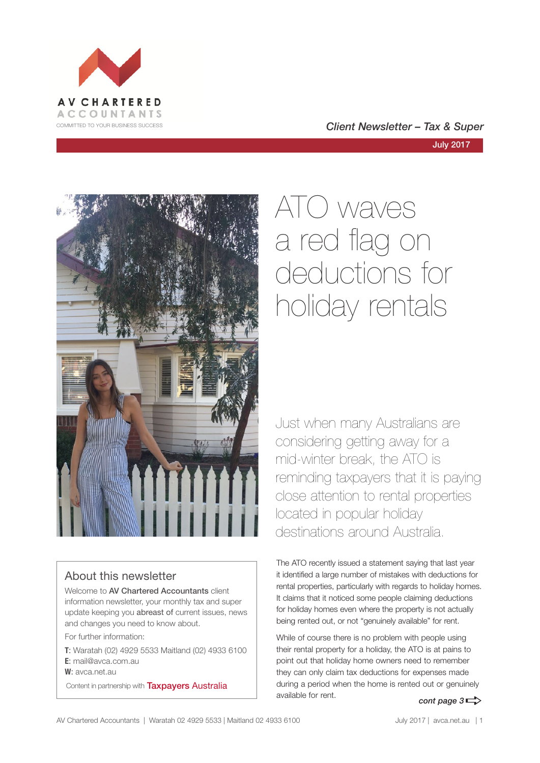

## COMMITTED TO YOUR BUSINESS SUCCESS **COMMITTED TO YOUR BUSINESS SUCCESS**



## About this newsletter

Welcome to AV Chartered Accountants client information newsletter, your monthly tax and super update keeping you abreast of current issues, news and changes you need to know about.

For further information:

**T**: Waratah (02) 4929 5533 Maitland (02) 4933 6100 **E**: mail@avca.com.au

**W**: avca.net.au

Content in partnership with **Taxpayers Australia** 

# ATO waves a red flag on deductions for holiday rentals

Just when many Australians are considering getting away for a mid-winter break, the ATO is reminding taxpayers that it is paying close attention to rental properties located in popular holiday destinations around Australia.

The ATO recently issued a statement saying that last year it identified a large number of mistakes with deductions for rental properties, particularly with regards to holiday homes. It claims that it noticed some people claiming deductions for holiday homes even where the property is not actually being rented out, or not "genuinely available" for rent.

While of course there is no problem with people using their rental property for a holiday, the ATO is at pains to point out that holiday home owners need to remember they can only claim tax deductions for expenses made during a period when the home is rented out or genuinely available for rent. *cont page*  $3 \Rightarrow$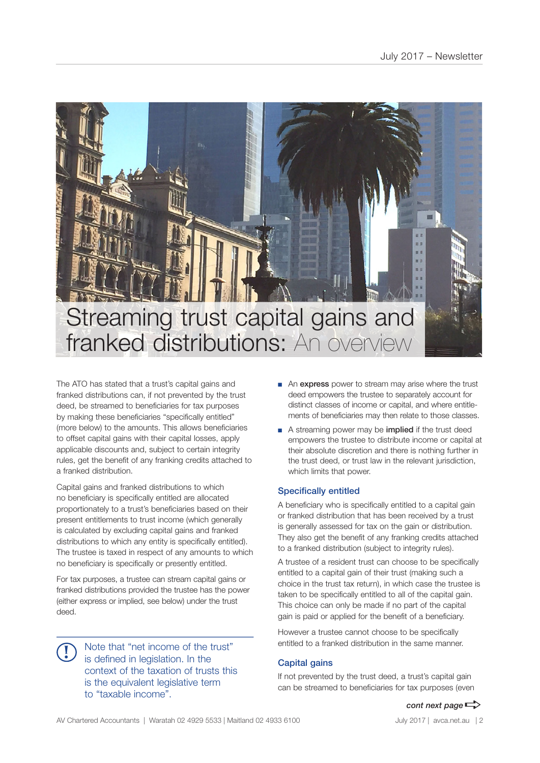

The ATO has stated that a trust's capital gains and franked distributions can, if not prevented by the trust deed, be streamed to beneficiaries for tax purposes by making these beneficiaries "specifically entitled" (more below) to the amounts. This allows beneficiaries to offset capital gains with their capital losses, apply applicable discounts and, subject to certain integrity rules, get the benefit of any franking credits attached to a franked distribution.

Capital gains and franked distributions to which no beneficiary is specifically entitled are allocated proportionately to a trust's beneficiaries based on their present entitlements to trust income (which generally is calculated by excluding capital gains and franked distributions to which any entity is specifically entitled). The trustee is taxed in respect of any amounts to which no beneficiary is specifically or presently entitled.

For tax purposes, a trustee can stream capital gains or franked distributions provided the trustee has the power (either express or implied, see below) under the trust deed.

Note that "net income of the trust" is defined in legislation. In the context of the taxation of trusts this is the equivalent legislative term to "taxable income". **!**

- An express power to stream may arise where the trust deed empowers the trustee to separately account for distinct classes of income or capital, and where entitlements of beneficiaries may then relate to those classes.
- A streaming power may be **implied** if the trust deed empowers the trustee to distribute income or capital at their absolute discretion and there is nothing further in the trust deed, or trust law in the relevant jurisdiction, which limits that power.

#### Specifically entitled

A beneficiary who is specifically entitled to a capital gain or franked distribution that has been received by a trust is generally assessed for tax on the gain or distribution. They also get the benefit of any franking credits attached to a franked distribution (subject to integrity rules).

A trustee of a resident trust can choose to be specifically entitled to a capital gain of their trust (making such a choice in the trust tax return), in which case the trustee is taken to be specifically entitled to all of the capital gain. This choice can only be made if no part of the capital gain is paid or applied for the benefit of a beneficiary.

However a trustee cannot choose to be specifically entitled to a franked distribution in the same manner.

#### Capital gains

If not prevented by the trust deed, a trust's capital gain can be streamed to beneficiaries for tax purposes (even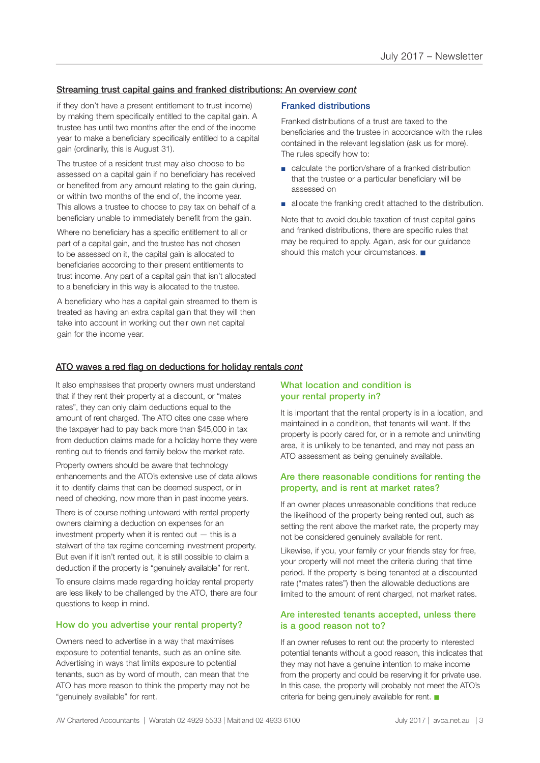#### Streaming trust capital gains and franked distributions: An overview *cont*

if they don't have a present entitlement to trust income) by making them specifically entitled to the capital gain. A trustee has until two months after the end of the income year to make a beneficiary specifically entitled to a capital gain (ordinarily, this is August 31).

The trustee of a resident trust may also choose to be assessed on a capital gain if no beneficiary has received or benefited from any amount relating to the gain during, or within two months of the end of, the income year. This allows a trustee to choose to pay tax on behalf of a beneficiary unable to immediately benefit from the gain.

Where no beneficiary has a specific entitlement to all or part of a capital gain, and the trustee has not chosen to be assessed on it, the capital gain is allocated to beneficiaries according to their present entitlements to trust income. Any part of a capital gain that isn't allocated to a beneficiary in this way is allocated to the trustee.

A beneficiary who has a capital gain streamed to them is treated as having an extra capital gain that they will then take into account in working out their own net capital gain for the income year.

#### Franked distributions

Franked distributions of a trust are taxed to the beneficiaries and the trustee in accordance with the rules contained in the relevant legislation (ask us for more). The rules specify how to:

- calculate the portion/share of a franked distribution that the trustee or a particular beneficiary will be assessed on
- allocate the franking credit attached to the distribution.

Note that to avoid double taxation of trust capital gains and franked distributions, there are specific rules that may be required to apply. Again, ask for our guidance should this match your circumstances.

#### ATO waves a red flag on deductions for holiday rentals *cont*

It also emphasises that property owners must understand that if they rent their property at a discount, or "mates rates", they can only claim deductions equal to the amount of rent charged. The ATO cites one case where the taxpayer had to pay back more than \$45,000 in tax from deduction claims made for a holiday home they were renting out to friends and family below the market rate.

Property owners should be aware that technology enhancements and the ATO's extensive use of data allows it to identify claims that can be deemed suspect, or in need of checking, now more than in past income years.

There is of course nothing untoward with rental property owners claiming a deduction on expenses for an investment property when it is rented out — this is a stalwart of the tax regime concerning investment property. But even if it isn't rented out, it is still possible to claim a deduction if the property is "genuinely available" for rent.

To ensure claims made regarding holiday rental property are less likely to be challenged by the ATO, there are four questions to keep in mind.

#### How do you advertise your rental property?

Owners need to advertise in a way that maximises exposure to potential tenants, such as an online site. Advertising in ways that limits exposure to potential tenants, such as by word of mouth, can mean that the ATO has more reason to think the property may not be "genuinely available" for rent.

#### What location and condition is your rental property in?

It is important that the rental property is in a location, and maintained in a condition, that tenants will want. If the property is poorly cared for, or in a remote and uninviting area, it is unlikely to be tenanted, and may not pass an ATO assessment as being genuinely available.

#### Are there reasonable conditions for renting the property, and is rent at market rates?

If an owner places unreasonable conditions that reduce the likelihood of the property being rented out, such as setting the rent above the market rate, the property may not be considered genuinely available for rent.

Likewise, if you, your family or your friends stay for free, your property will not meet the criteria during that time period. If the property is being tenanted at a discounted rate ("mates rates") then the allowable deductions are limited to the amount of rent charged, not market rates.

#### Are interested tenants accepted, unless there is a good reason not to?

If an owner refuses to rent out the property to interested potential tenants without a good reason, this indicates that they may not have a genuine intention to make income from the property and could be reserving it for private use. In this case, the property will probably not meet the ATO's criteria for being genuinely available for rent.  $\blacksquare$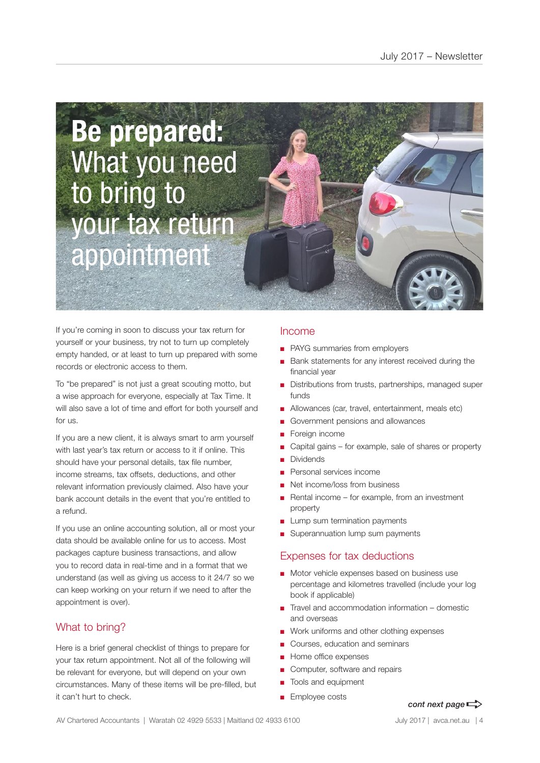# **Be prepared:**  What you need to bring to your tax return appointment

If you're coming in soon to discuss your tax return for yourself or your business, try not to turn up completely empty handed, or at least to turn up prepared with some records or electronic access to them.

To "be prepared" is not just a great scouting motto, but a wise approach for everyone, especially at Tax Time. It will also save a lot of time and effort for both yourself and for us.

If you are a new client, it is always smart to arm yourself with last year's tax return or access to it if online. This should have your personal details, tax file number, income streams, tax offsets, deductions, and other relevant information previously claimed. Also have your bank account details in the event that you're entitled to a refund.

If you use an online accounting solution, all or most your data should be available online for us to access. Most packages capture business transactions, and allow you to record data in real-time and in a format that we understand (as well as giving us access to it 24/7 so we can keep working on your return if we need to after the appointment is over).

## What to bring?

Here is a brief general checklist of things to prepare for your tax return appointment. Not all of the following will be relevant for everyone, but will depend on your own circumstances. Many of these items will be pre-filled, but it can't hurt to check.

### Income

- PAYG summaries from employers
- Bank statements for any interest received during the financial year
- Distributions from trusts, partnerships, managed super funds
- Allowances (car, travel, entertainment, meals etc)
- Government pensions and allowances
- Foreign income
- Capital gains for example, sale of shares or property
- **Dividends**
- Personal services income
- Net income/loss from business
- Rental income for example, from an investment property
- Lump sum termination payments
- Superannuation lump sum payments

#### Expenses for tax deductions

- Motor vehicle expenses based on business use percentage and kilometres travelled (include your log book if applicable)
- Travel and accommodation information domestic and overseas
- Work uniforms and other clothing expenses
- Courses, education and seminars
- Home office expenses
- Computer, software and repairs
- Tools and equipment
- Employee costs

## *cont next page* $\Rightarrow$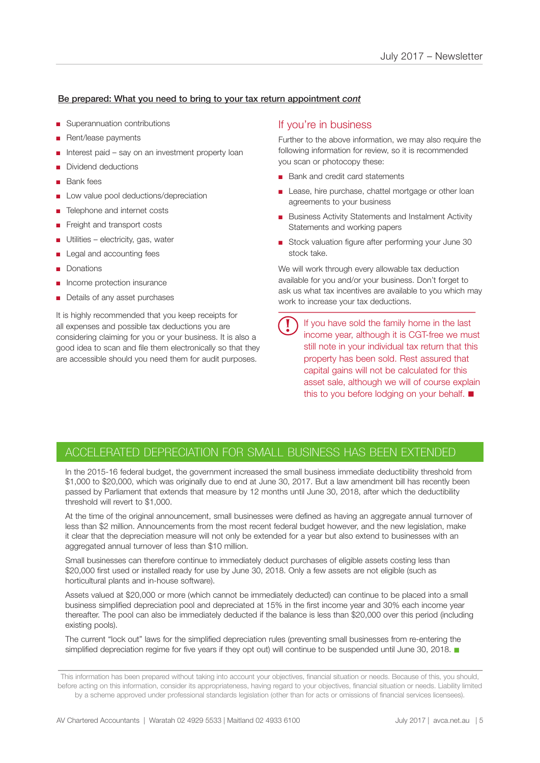#### Be prepared: What you need to bring to your tax return appointment *cont*

- Superannuation contributions
- Rent/lease payments
- Interest paid say on an investment property loan
- Dividend deductions
- Bank fees
- Low value pool deductions/depreciation
- Telephone and internet costs
- Freight and transport costs
- Utilities electricity, gas, water
- Legal and accounting fees
- Donations
- Income protection insurance
- Details of any asset purchases

It is highly recommended that you keep receipts for all expenses and possible tax deductions you are considering claiming for you or your business. It is also a good idea to scan and file them electronically so that they are accessible should you need them for audit purposes.

### If you're in business

Further to the above information, we may also require the following information for review, so it is recommended you scan or photocopy these:

- Bank and credit card statements
- Lease, hire purchase, chattel mortgage or other loan agreements to your business
- Business Activity Statements and Instalment Activity Statements and working papers
- Stock valuation figure after performing your June 30 stock take.

We will work through every allowable tax deduction available for you and/or your business. Don't forget to ask us what tax incentives are available to you which may work to increase your tax deductions.

If you have sold the family home in the last income year, although it is CGT-free we must still note in your individual tax return that this property has been sold. Rest assured that capital gains will not be calculated for this asset sale, although we will of course explain this to you before lodging on your behalf.  $\blacksquare$ **!**

## ACCELERATED DEPRECIATION FOR SMALL BUSINESS HAS BEEN EXTENDED

In the 2015-16 federal budget, the government increased the small business immediate deductibility threshold from \$1,000 to \$20,000, which was originally due to end at June 30, 2017. But a law amendment bill has recently been passed by Parliament that extends that measure by 12 months until June 30, 2018, after which the deductibility threshold will revert to \$1,000.

At the time of the original announcement, small businesses were defined as having an aggregate annual turnover of less than \$2 million. Announcements from the most recent federal budget however, and the new legislation, make it clear that the depreciation measure will not only be extended for a year but also extend to businesses with an aggregated annual turnover of less than \$10 million.

Small businesses can therefore continue to immediately deduct purchases of eligible assets costing less than \$20,000 first used or installed ready for use by June 30, 2018. Only a few assets are not eligible (such as horticultural plants and in-house software).

Assets valued at \$20,000 or more (which cannot be immediately deducted) can continue to be placed into a small business simplified depreciation pool and depreciated at 15% in the first income year and 30% each income year thereafter. The pool can also be immediately deducted if the balance is less than \$20,000 over this period (including existing pools).

The current "lock out" laws for the simplified depreciation rules (preventing small businesses from re-entering the simplified depreciation regime for five years if they opt out) will continue to be suspended until June 30, 2018.

This information has been prepared without taking into account your objectives, financial situation or needs. Because of this, you should, before acting on this information, consider its appropriateness, having regard to your objectives, financial situation or needs. Liability limited by a scheme approved under professional standards legislation (other than for acts or omissions of financial services licensees).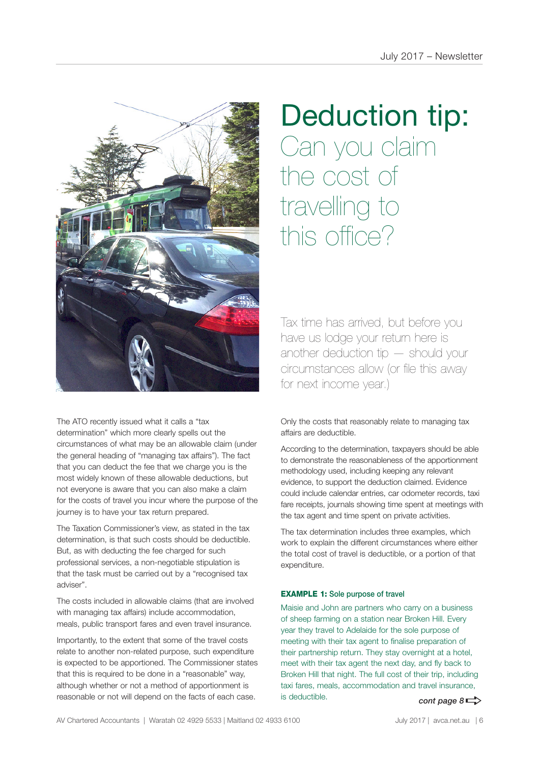

#### The ATO recently issued what it calls a "tax determination" which more clearly spells out the circumstances of what may be an allowable claim (under the general heading of "managing tax affairs"). The fact that you can deduct the fee that we charge you is the most widely known of these allowable deductions, but not everyone is aware that you can also make a claim for the costs of travel you incur where the purpose of the journey is to have your tax return prepared.

The Taxation Commissioner's view, as stated in the tax determination, is that such costs should be deductible. But, as with deducting the fee charged for such professional services, a non-negotiable stipulation is that the task must be carried out by a "recognised tax adviser".

The costs included in allowable claims (that are involved with managing tax affairs) include accommodation, meals, public transport fares and even travel insurance.

Importantly, to the extent that some of the travel costs relate to another non-related purpose, such expenditure is expected to be apportioned. The Commissioner states that this is required to be done in a "reasonable" way, although whether or not a method of apportionment is reasonable or not will depend on the facts of each case.

# Deduction tip: Can you claim the cost of travelling to this office?

Tax time has arrived, but before you have us lodge your return here is another deduction tip — should your circumstances allow (or file this away for next income year.)

Only the costs that reasonably relate to managing tax affairs are deductible.

According to the determination, taxpayers should be able to demonstrate the reasonableness of the apportionment methodology used, including keeping any relevant evidence, to support the deduction claimed. Evidence could include calendar entries, car odometer records, taxi fare receipts, journals showing time spent at meetings with the tax agent and time spent on private activities.

The tax determination includes three examples, which work to explain the different circumstances where either the total cost of travel is deductible, or a portion of that expenditure.

#### EXAMPLE 1: Sole purpose of travel

Maisie and John are partners who carry on a business of sheep farming on a station near Broken Hill. Every year they travel to Adelaide for the sole purpose of meeting with their tax agent to finalise preparation of their partnership return. They stay overnight at a hotel, meet with their tax agent the next day, and fly back to Broken Hill that night. The full cost of their trip, including taxi fares, meals, accommodation and travel insurance, is deductible. **cont page 8**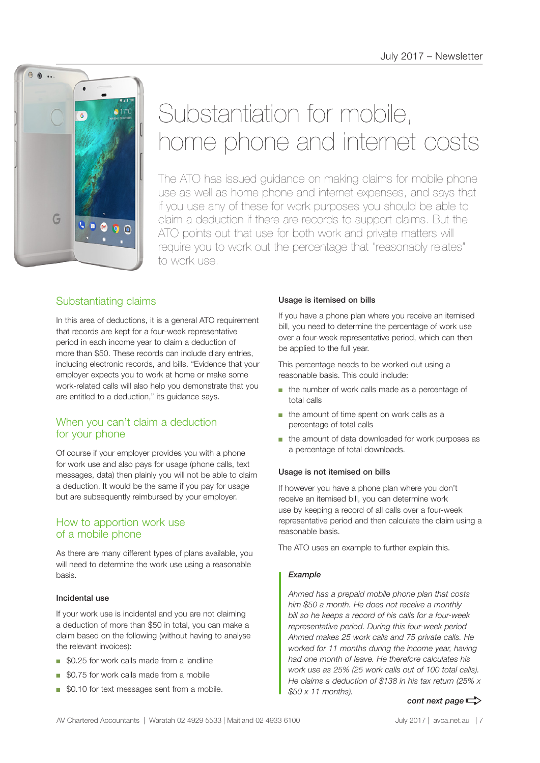

# Substantiation for mobile, home phone and internet costs

The ATO has issued guidance on making claims for mobile phone use as well as home phone and internet expenses, and says that if you use any of these for work purposes you should be able to claim a deduction if there are records to support claims. But the ATO points out that use for both work and private matters will require you to work out the percentage that "reasonably relates" to work use.

## Substantiating claims

In this area of deductions, it is a general ATO requirement that records are kept for a four-week representative period in each income year to claim a deduction of more than \$50. These records can include diary entries, including electronic records, and bills. "Evidence that your employer expects you to work at home or make some work-related calls will also help you demonstrate that you are entitled to a deduction," its guidance says.

## When you can't claim a deduction for your phone

Of course if your employer provides you with a phone for work use and also pays for usage (phone calls, text messages, data) then plainly you will not be able to claim a deduction. It would be the same if you pay for usage but are subsequently reimbursed by your employer.

## How to apportion work use of a mobile phone

As there are many different types of plans available, you will need to determine the work use using a reasonable basis.

#### Incidental use

If your work use is incidental and you are not claiming a deduction of more than \$50 in total, you can make a claim based on the following (without having to analyse the relevant invoices):

- \$0.25 for work calls made from a landline
- \$0.75 for work calls made from a mobile
- \$0.10 for text messages sent from a mobile.

#### Usage is itemised on bills

If you have a phone plan where you receive an itemised bill, you need to determine the percentage of work use over a four-week representative period, which can then be applied to the full year.

This percentage needs to be worked out using a reasonable basis. This could include:

- the number of work calls made as a percentage of total calls
- the amount of time spent on work calls as a percentage of total calls
- the amount of data downloaded for work purposes as a percentage of total downloads.

#### Usage is not itemised on bills

If however you have a phone plan where you don't receive an itemised bill, you can determine work use by keeping a record of all calls over a four-week representative period and then calculate the claim using a reasonable basis.

The ATO uses an example to further explain this.

#### *Example*

*Ahmed has a prepaid mobile phone plan that costs him \$50 a month. He does not receive a monthly bill so he keeps a record of his calls for a four-week representative period. During this four-week period Ahmed makes 25 work calls and 75 private calls. He worked for 11 months during the income year, having had one month of leave. He therefore calculates his work use as 25% (25 work calls out of 100 total calls). He claims a deduction of \$138 in his tax return (25% x \$50 x 11 months).*